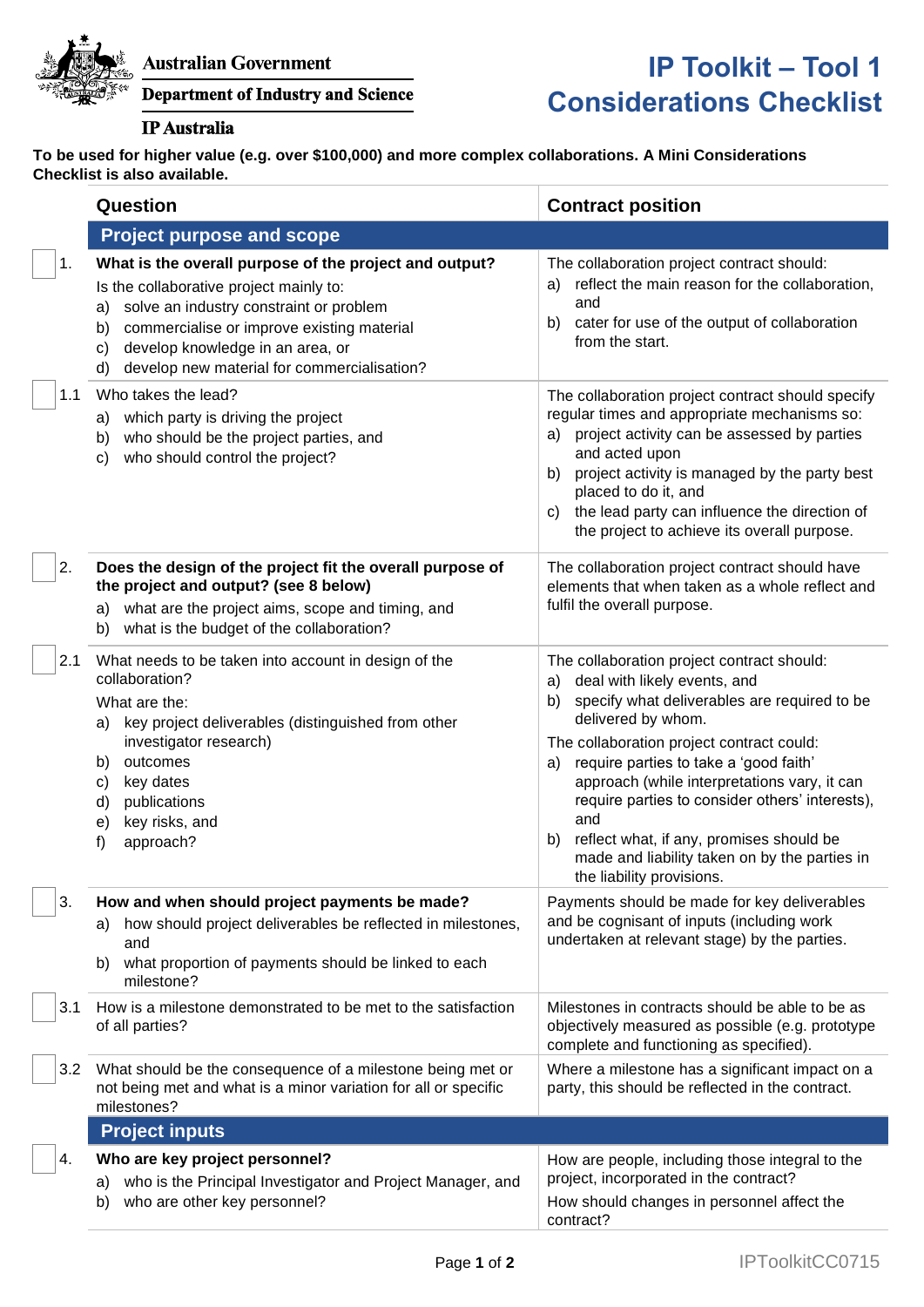

## **Department of Industry and Science**

## **IP** Australia

## **IP Toolkit – Tool 1 Considerations Checklist**

**To be used for higher value (e.g. over \$100,000) and more complex collaborations. A Mini Considerations Checklist is also available.** 

|     | Question                                                                                                                                                                                                                                                                                              | <b>Contract position</b>                                                                                                                                                                                                                                                                                                                                                                                                                                                                            |
|-----|-------------------------------------------------------------------------------------------------------------------------------------------------------------------------------------------------------------------------------------------------------------------------------------------------------|-----------------------------------------------------------------------------------------------------------------------------------------------------------------------------------------------------------------------------------------------------------------------------------------------------------------------------------------------------------------------------------------------------------------------------------------------------------------------------------------------------|
|     | <b>Project purpose and scope</b>                                                                                                                                                                                                                                                                      |                                                                                                                                                                                                                                                                                                                                                                                                                                                                                                     |
| 1.  | What is the overall purpose of the project and output?<br>Is the collaborative project mainly to:<br>solve an industry constraint or problem<br>a)<br>commercialise or improve existing material<br>b)<br>develop knowledge in an area, or<br>C)<br>develop new material for commercialisation?<br>d) | The collaboration project contract should:<br>reflect the main reason for the collaboration,<br>a)<br>and<br>cater for use of the output of collaboration<br>b)<br>from the start.                                                                                                                                                                                                                                                                                                                  |
| 1.1 | Who takes the lead?<br>which party is driving the project<br>a)<br>who should be the project parties, and<br>b)<br>who should control the project?<br>c)                                                                                                                                              | The collaboration project contract should specify<br>regular times and appropriate mechanisms so:<br>project activity can be assessed by parties<br>a)<br>and acted upon<br>project activity is managed by the party best<br>b)<br>placed to do it, and<br>the lead party can influence the direction of<br>C)<br>the project to achieve its overall purpose.                                                                                                                                       |
| 2.  | Does the design of the project fit the overall purpose of<br>the project and output? (see 8 below)<br>what are the project aims, scope and timing, and<br>a)<br>what is the budget of the collaboration?<br>b)                                                                                        | The collaboration project contract should have<br>elements that when taken as a whole reflect and<br>fulfil the overall purpose.                                                                                                                                                                                                                                                                                                                                                                    |
| 2.1 | What needs to be taken into account in design of the<br>collaboration?<br>What are the:<br>key project deliverables (distinguished from other<br>a)<br>investigator research)<br>outcomes<br>b)<br>key dates<br>C)<br>publications<br>d)<br>key risks, and<br>e)<br>approach?<br>f)                   | The collaboration project contract should:<br>deal with likely events, and<br>a)<br>specify what deliverables are required to be<br>b)<br>delivered by whom.<br>The collaboration project contract could:<br>require parties to take a 'good faith'<br>a)<br>approach (while interpretations vary, it can<br>require parties to consider others' interests),<br>and<br>reflect what, if any, promises should be<br>b)<br>made and liability taken on by the parties in<br>the liability provisions. |
| 3.  | How and when should project payments be made?<br>how should project deliverables be reflected in milestones,<br>a)<br>and<br>what proportion of payments should be linked to each<br>b)<br>milestone?                                                                                                 | Payments should be made for key deliverables<br>and be cognisant of inputs (including work<br>undertaken at relevant stage) by the parties.                                                                                                                                                                                                                                                                                                                                                         |
| 3.1 | How is a milestone demonstrated to be met to the satisfaction<br>of all parties?                                                                                                                                                                                                                      | Milestones in contracts should be able to be as<br>objectively measured as possible (e.g. prototype<br>complete and functioning as specified).                                                                                                                                                                                                                                                                                                                                                      |
| 3.2 | What should be the consequence of a milestone being met or<br>not being met and what is a minor variation for all or specific<br>milestones?                                                                                                                                                          | Where a milestone has a significant impact on a<br>party, this should be reflected in the contract.                                                                                                                                                                                                                                                                                                                                                                                                 |
|     | <b>Project inputs</b>                                                                                                                                                                                                                                                                                 |                                                                                                                                                                                                                                                                                                                                                                                                                                                                                                     |
| 4.  | Who are key project personnel?<br>who is the Principal Investigator and Project Manager, and<br>a)<br>who are other key personnel?<br>b)                                                                                                                                                              | How are people, including those integral to the<br>project, incorporated in the contract?<br>How should changes in personnel affect the<br>contract?                                                                                                                                                                                                                                                                                                                                                |